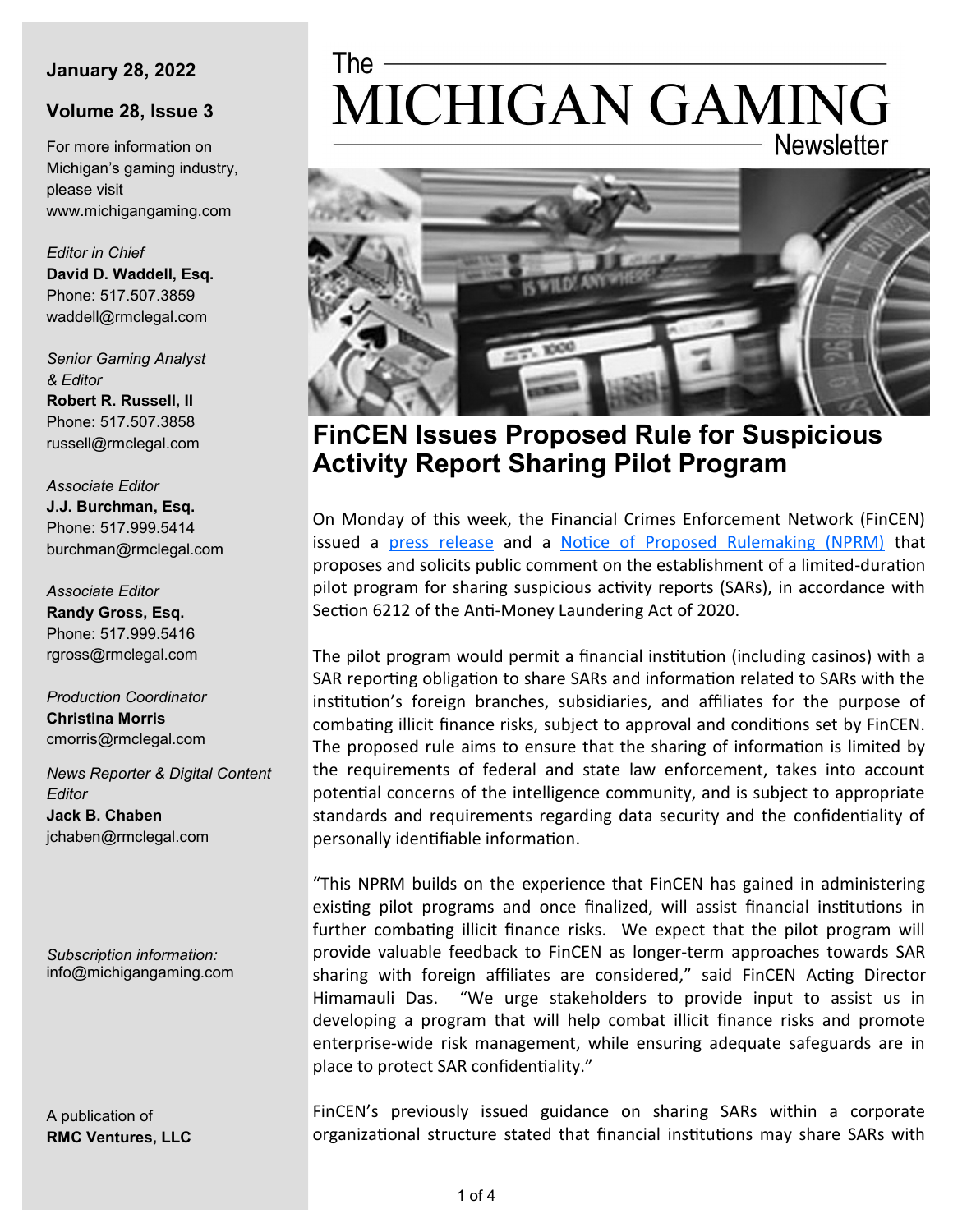#### **January 28, 2022**

#### **Volume 28, Issue 3**

For more information on Michigan's gaming industry, please visit www.michigangaming.com

*Editor in Chief* **David D. Waddell, Esq.** Phone: 517.507.3859 waddell@rmclegal.com

*Senior Gaming Analyst & Editor* **Robert R. Russell, II**

Phone: 517.507.3858 russell@rmclegal.com

*Associate Editor* **J.J. Burchman, Esq.** Phone: 517.999.5414 burchman@rmclegal.com

*Associate Editor* **Randy Gross, Esq.** Phone: 517.999.5416 rgross@rmclegal.com

*Production Coordinator* **Christina Morris** cmorris@rmclegal.com

*News Reporter & Digital Content Editor* **Jack B. Chaben** jchaben@rmclegal.com

*Subscription information:* info@michigangaming.com

A publication of **RMC Ventures, LLC**

# The -MICHIGAN GAMING **Newsletter**



**FinCEN Issues Proposed Rule for Suspicious Activity Report Sharing Pilot Program**

On Monday of this week, the Financial Crimes Enforcement Network (FinCEN) issued a [press release](https://www.fincen.gov/news/news-releases/fincen-issues-proposed-rule-suspicious-activity-report-sharing-pilot-program) and a [Notice of Proposed Rulemaking \(NPRM\)](https://www.federalregister.gov/documents/2022/01/25/2022-01331/pilot-program-on-sharing-of-suspicious-activity-reports-and-related-information-with-foreign) that proposes and solicits public comment on the establishment of a limited-duration pilot program for sharing suspicious activity reports (SARs), in accordance with Section 6212 of the Anti-Money Laundering Act of 2020.

The pilot program would permit a financial institution (including casinos) with a SAR reporting obligation to share SARs and information related to SARs with the institution's foreign branches, subsidiaries, and affiliates for the purpose of combating illicit finance risks, subject to approval and conditions set by FinCEN. The proposed rule aims to ensure that the sharing of information is limited by the requirements of federal and state law enforcement, takes into account potential concerns of the intelligence community, and is subject to appropriate standards and requirements regarding data security and the confidentiality of personally identifiable information.

"This NPRM builds on the experience that FinCEN has gained in administering existing pilot programs and once finalized, will assist financial institutions in further combating illicit finance risks. We expect that the pilot program will provide valuable feedback to FinCEN as longer-term approaches towards SAR sharing with foreign affiliates are considered," said FinCEN Acting Director Himamauli Das. "We urge stakeholders to provide input to assist us in developing a program that will help combat illicit finance risks and promote enterprise-wide risk management, while ensuring adequate safeguards are in place to protect SAR confidentiality."

FinCEN's previously issued guidance on sharing SARs within a corporate organizational structure stated that financial institutions may share SARs with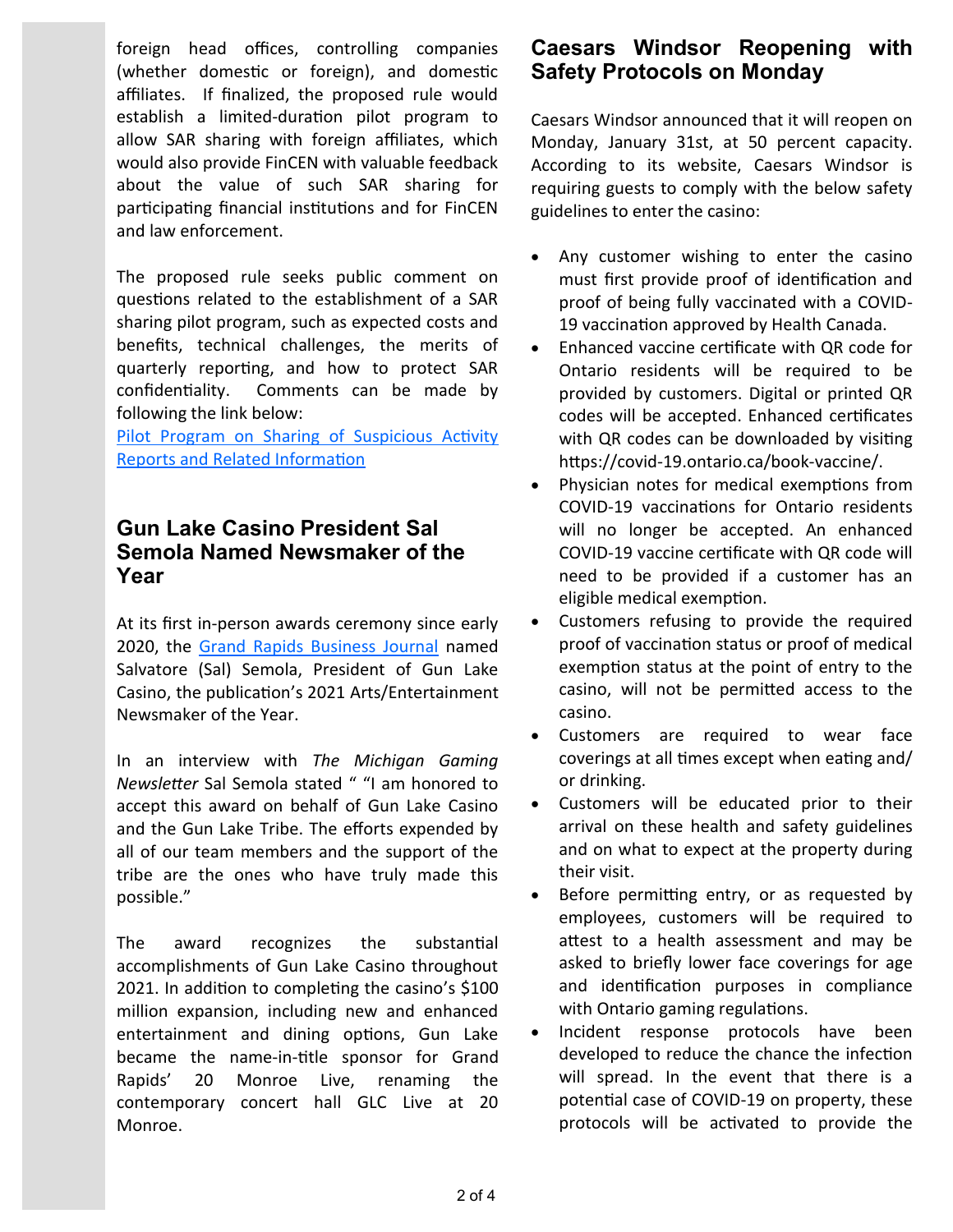foreign head offices, controlling companies (whether domestic or foreign), and domestic affiliates. If finalized, the proposed rule would establish a limited-duration pilot program to allow SAR sharing with foreign affiliates, which would also provide FinCEN with valuable feedback about the value of such SAR sharing for participating financial institutions and for FinCEN and law enforcement.

The proposed rule seeks public comment on questions related to the establishment of a SAR sharing pilot program, such as expected costs and benefits, technical challenges, the merits of quarterly reporting, and how to protect SAR confidentiality. Comments can be made by following the link below:

Pilot Program on Sharing of Suspicious Activity [Reports and Related Information](https://www.federalregister.gov/documents/2022/01/25/2022-01331/pilot-program-on-sharing-of-suspicious-activity-reports-and-related-information-with-foreign)

## **Gun Lake Casino President Sal Semola Named Newsmaker of the Year**

At its first in-person awards ceremony since early 2020, the [Grand Rapids Business Journal](https://grbj.com/news/human-resources/business-journal-names-2021-newsmakers-of-the-year/) named Salvatore (Sal) Semola, President of Gun Lake Casino, the publication's 2021 Arts/Entertainment Newsmaker of the Year.

In an interview with *The Michigan Gaming Newsletter* Sal Semola stated " "I am honored to accept this award on behalf of Gun Lake Casino and the Gun Lake Tribe. The efforts expended by all of our team members and the support of the tribe are the ones who have truly made this possible."

The award recognizes the substantial accomplishments of Gun Lake Casino throughout 2021. In addition to completing the casino's \$100 million expansion, including new and enhanced entertainment and dining options, Gun Lake became the name-in-title sponsor for Grand Rapids' 20 Monroe Live, renaming the contemporary concert hall GLC Live at 20 Monroe.

## **Caesars Windsor Reopening with Safety Protocols on Monday**

Caesars Windsor announced that it will reopen on Monday, January 31st, at 50 percent capacity. According to its website, Caesars Windsor is requiring guests to comply with the below safety guidelines to enter the casino:

- Any customer wishing to enter the casino must first provide proof of identification and proof of being fully vaccinated with a COVID-19 vaccination approved by Health Canada.
- Enhanced vaccine certificate with QR code for Ontario residents will be required to be provided by customers. Digital or printed QR codes will be accepted. Enhanced certificates with QR codes can be downloaded by visiting https://covid-19.ontario.ca/book-vaccine/.
- Physician notes for medical exemptions from COVID-19 vaccinations for Ontario residents will no longer be accepted. An enhanced COVID-19 vaccine certificate with QR code will need to be provided if a customer has an eligible medical exemption.
- Customers refusing to provide the required proof of vaccination status or proof of medical exemption status at the point of entry to the casino, will not be permitted access to the casino.
- Customers are required to wear face coverings at all times except when eating and/ or drinking.
- Customers will be educated prior to their arrival on these health and safety guidelines and on what to expect at the property during their visit.
- Before permitting entry, or as requested by employees, customers will be required to attest to a health assessment and may be asked to briefly lower face coverings for age and identification purposes in compliance with Ontario gaming regulations.
- Incident response protocols have been developed to reduce the chance the infection will spread. In the event that there is a potential case of COVID-19 on property, these protocols will be activated to provide the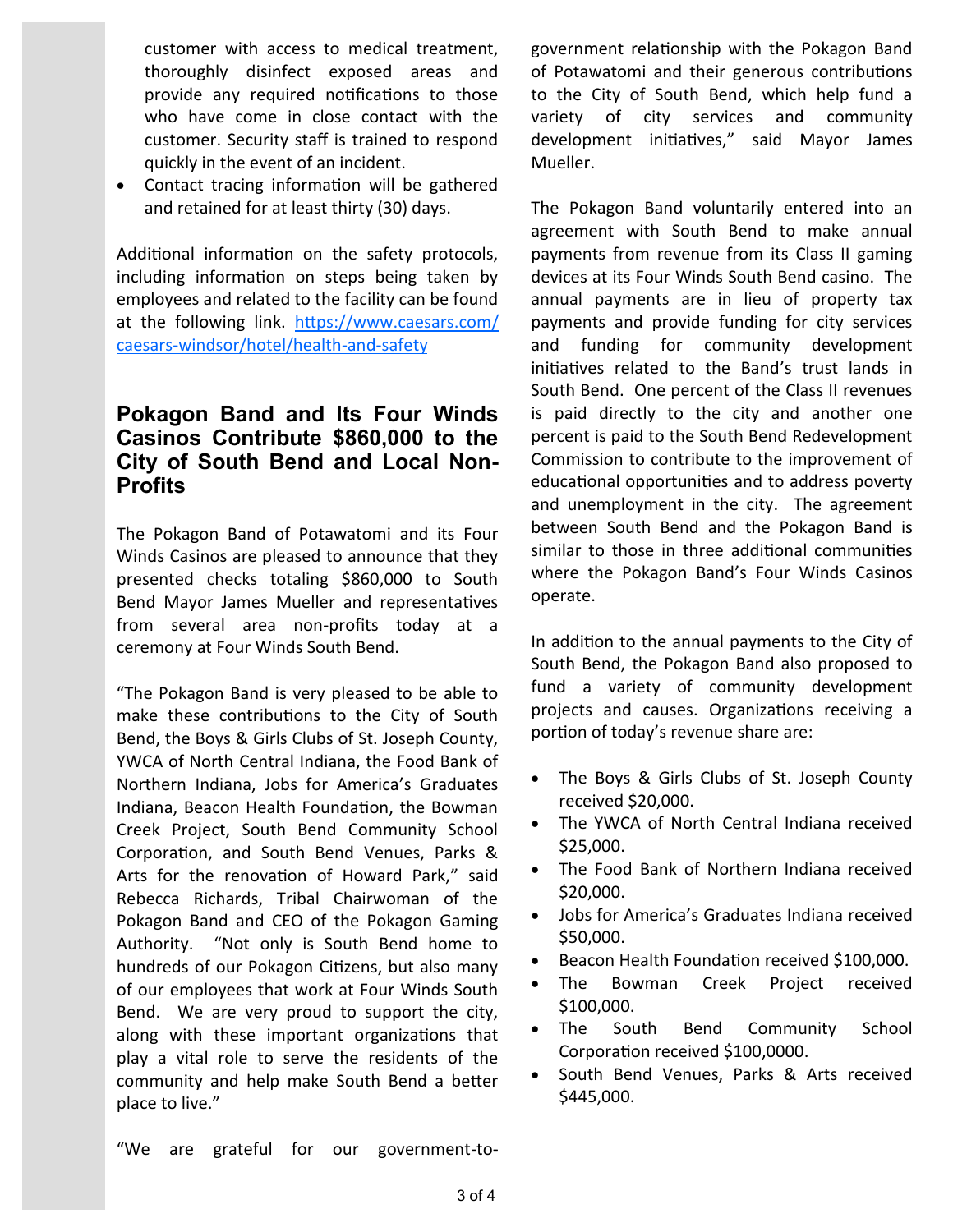customer with access to medical treatment, thoroughly disinfect exposed areas and provide any required notifications to those who have come in close contact with the customer. Security staff is trained to respond quickly in the event of an incident.

• Contact tracing information will be gathered and retained for at least thirty (30) days.

Additional information on the safety protocols, including information on steps being taken by employees and related to the facility can be found at the following link. [https://www.caesars.com/](https://www.caesars.com/caesars-windsor/hotel/health-and-safety) caesars-[windsor/hotel/health](https://www.caesars.com/caesars-windsor/hotel/health-and-safety)-and-safety

#### **Pokagon Band and Its Four Winds Casinos Contribute \$860,000 to the City of South Bend and Local Non-Profits**

The Pokagon Band of Potawatomi and its Four Winds Casinos are pleased to announce that they presented checks totaling \$860,000 to South Bend Mayor James Mueller and representatives from several area non-profits today at a ceremony at Four Winds South Bend.

"The Pokagon Band is very pleased to be able to make these contributions to the City of South Bend, the Boys & Girls Clubs of St. Joseph County, YWCA of North Central Indiana, the Food Bank of Northern Indiana, Jobs for America's Graduates Indiana, Beacon Health Foundation, the Bowman Creek Project, South Bend Community School Corporation, and South Bend Venues, Parks & Arts for the renovation of Howard Park," said Rebecca Richards, Tribal Chairwoman of the Pokagon Band and CEO of the Pokagon Gaming Authority. "Not only is South Bend home to hundreds of our Pokagon Citizens, but also many of our employees that work at Four Winds South Bend. We are very proud to support the city, along with these important organizations that play a vital role to serve the residents of the community and help make South Bend a better place to live."

government relationship with the Pokagon Band of Potawatomi and their generous contributions to the City of South Bend, which help fund a variety of city services and community development initiatives," said Mayor James Mueller.

The Pokagon Band voluntarily entered into an agreement with South Bend to make annual payments from revenue from its Class II gaming devices at its Four Winds South Bend casino. The annual payments are in lieu of property tax payments and provide funding for city services and funding for community development initiatives related to the Band's trust lands in South Bend. One percent of the Class II revenues is paid directly to the city and another one percent is paid to the South Bend Redevelopment Commission to contribute to the improvement of educational opportunities and to address poverty and unemployment in the city. The agreement between South Bend and the Pokagon Band is similar to those in three additional communities where the Pokagon Band's Four Winds Casinos operate.

In addition to the annual payments to the City of South Bend, the Pokagon Band also proposed to fund a variety of community development projects and causes. Organizations receiving a portion of today's revenue share are:

- The Boys & Girls Clubs of St. Joseph County received \$20,000.
- The YWCA of North Central Indiana received \$25,000.
- The Food Bank of Northern Indiana received \$20,000.
- Jobs for America's Graduates Indiana received \$50,000.
- Beacon Health Foundation received \$100,000.
- The Bowman Creek Project received \$100,000.
- The South Bend Community School Corporation received \$100,0000.
- South Bend Venues, Parks & Arts received \$445,000.

"We are grateful for our government-to-